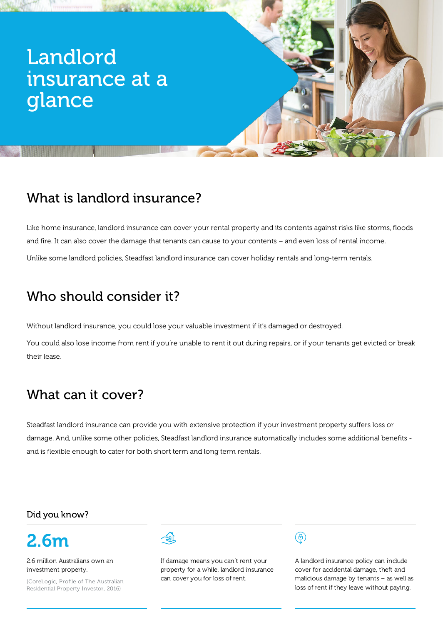# Landlord insurance at a glance

## What is landlord insurance?

Like home insurance, landlord insurance can cover your rental property and its contents against risks like storms, floods and fire. It can also cover the damage that tenants can cause to your contents – and even loss of rental income. Unlike some landlord policies, Steadfast landlord insurance can cover holiday rentals and long-term rentals.

## Who should consider it?

Without landlord insurance, you could lose your valuable investment if it's damaged or destroyed.

You could also lose income from rent if you're unable to rent it out during repairs, or if your tenants get evicted or break their lease.

### What can it cover?

Steadfast landlord insurance can provide you with extensive protection if your investment property suffers loss or damage. And, unlike some other policies, Steadfast landlord insurance automatically includes some additional benefits and is flexible enough to cater for both short term and long term rentals.

#### Did you know?



2.6 million Australians own an investment property.

(CoreLogic, Profile of The Australian Residential Property Investor, 2016)



If damage means you can't rent your property for a while, landlord insurance can cover you for loss of rent.



A landlord insurance policy can include cover for accidental damage, theft and malicious damage by tenants – as well as loss of rent if they leave without paying.